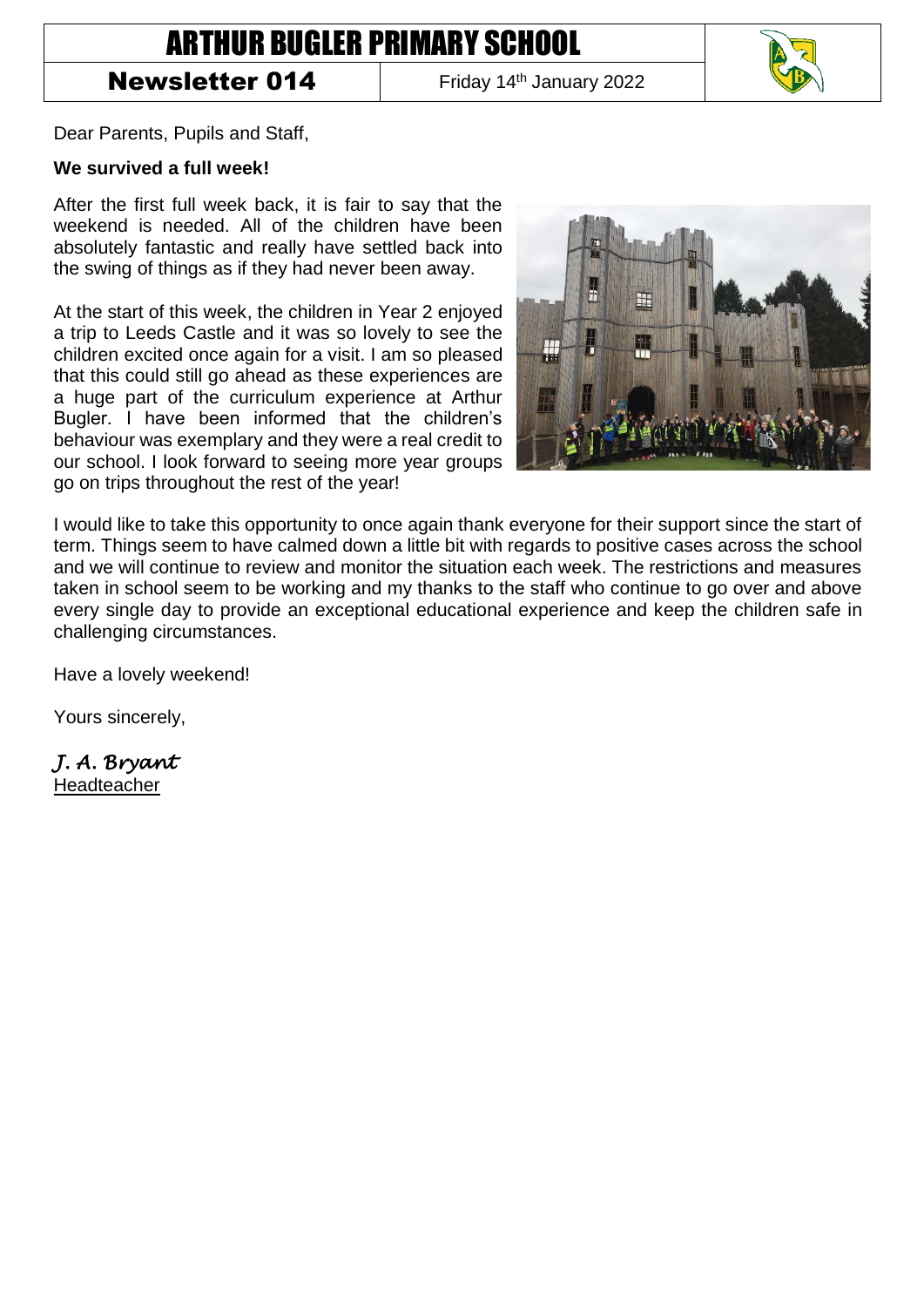## ARTHUR BUGLER PRIMARY SCHOOL

## **Newsletter 014** Friday 14<sup>th</sup> January 2022



Dear Parents, Pupils and Staff,

## **We survived a full week!**

After the first full week back, it is fair to say that the weekend is needed. All of the children have been absolutely fantastic and really have settled back into the swing of things as if they had never been away.

At the start of this week, the children in Year 2 enjoyed a trip to Leeds Castle and it was so lovely to see the children excited once again for a visit. I am so pleased that this could still go ahead as these experiences are a huge part of the curriculum experience at Arthur Bugler. I have been informed that the children's behaviour was exemplary and they were a real credit to our school. I look forward to seeing more year groups go on trips throughout the rest of the year!



I would like to take this opportunity to once again thank everyone for their support since the start of term. Things seem to have calmed down a little bit with regards to positive cases across the school and we will continue to review and monitor the situation each week. The restrictions and measures taken in school seem to be working and my thanks to the staff who continue to go over and above every single day to provide an exceptional educational experience and keep the children safe in challenging circumstances.

Have a lovely weekend!

Yours sincerely,

*J. A. Bryant* 

Headteacher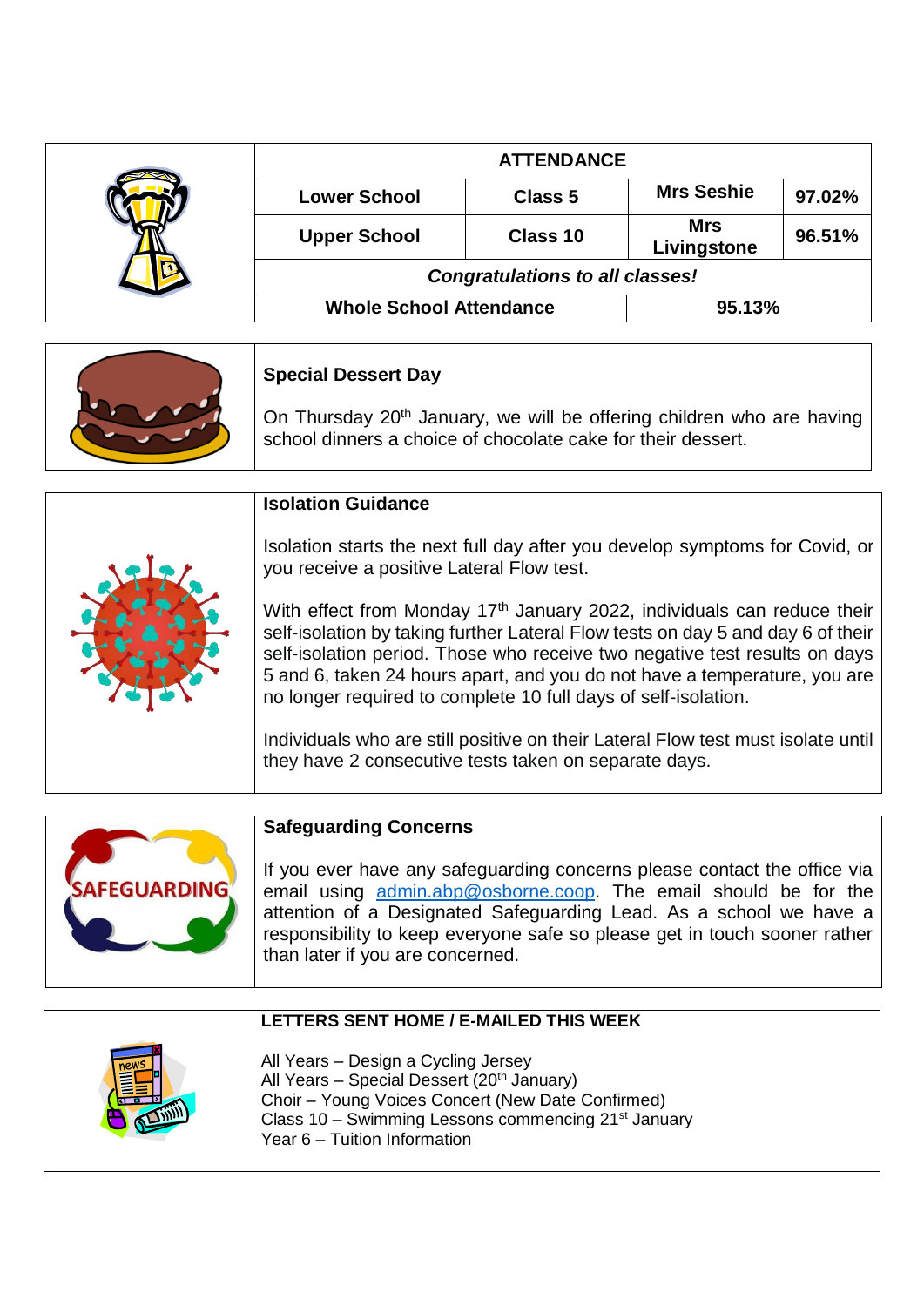|  | <b>ATTENDANCE</b>                      |          |                           |        |
|--|----------------------------------------|----------|---------------------------|--------|
|  | <b>Lower School</b>                    | Class 5  | <b>Mrs Seshie</b>         | 97.02% |
|  | <b>Upper School</b>                    | Class 10 | <b>Mrs</b><br>Livingstone | 96.51% |
|  | <b>Congratulations to all classes!</b> |          |                           |        |
|  | <b>Whole School Attendance</b>         |          | 95.13%                    |        |

| <b>Special Dessert Day</b>                                                                                                                        |  |  |
|---------------------------------------------------------------------------------------------------------------------------------------------------|--|--|
| On Thursday 20 <sup>th</sup> January, we will be offering children who are having<br>school dinners a choice of chocolate cake for their dessert. |  |  |

|  | <b>Isolation Guidance</b>                                                                                                                                                                                                                                                                                                                                                                           |
|--|-----------------------------------------------------------------------------------------------------------------------------------------------------------------------------------------------------------------------------------------------------------------------------------------------------------------------------------------------------------------------------------------------------|
|  | Isolation starts the next full day after you develop symptoms for Covid, or<br>you receive a positive Lateral Flow test.                                                                                                                                                                                                                                                                            |
|  | With effect from Monday 17 <sup>th</sup> January 2022, individuals can reduce their<br>self-isolation by taking further Lateral Flow tests on day 5 and day 6 of their<br>self-isolation period. Those who receive two negative test results on days<br>5 and 6, taken 24 hours apart, and you do not have a temperature, you are<br>no longer required to complete 10 full days of self-isolation. |
|  | Individuals who are still positive on their Lateral Flow test must isolate until<br>they have 2 consecutive tests taken on separate days.                                                                                                                                                                                                                                                           |



## **Safeguarding Concerns**

If you ever have any safeguarding concerns please contact the office via email using **admin.abp@osborne.coop**. The email should be for the attention of a Designated Safeguarding Lead. As a school we have a responsibility to keep everyone safe so please get in touch sooner rather than later if you are concerned.

|      | LETTERS SENT HOME / E-MAILED THIS WEEK                                                                                                                                                                                                                |
|------|-------------------------------------------------------------------------------------------------------------------------------------------------------------------------------------------------------------------------------------------------------|
| new: | All Years - Design a Cycling Jersey<br>All Years - Special Dessert (20 <sup>th</sup> January)<br>Choir - Young Voices Concert (New Date Confirmed)<br>Class 10 - Swimming Lessons commencing 21 <sup>st</sup> January<br>Year 6 - Tuition Information |